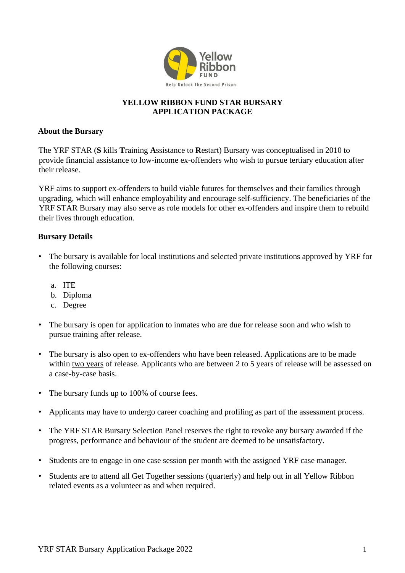

# **YELLOW RIBBON FUND STAR BURSARY APPLICATION PACKAGE**

### **About the Bursary**

The YRF STAR (**S** kills **T**raining **A**ssistance to **R**estart) Bursary was conceptualised in 2010 to provide financial assistance to low-income ex-offenders who wish to pursue tertiary education after their release.

YRF aims to support ex-offenders to build viable futures for themselves and their families through upgrading, which will enhance employability and encourage self-sufficiency. The beneficiaries of the YRF STAR Bursary may also serve as role models for other ex-offenders and inspire them to rebuild their lives through education.

### **Bursary Details**

- The bursary is available for local institutions and selected private institutions approved by YRF for the following courses:
	- a. ITE
	- b. Diploma
	- c. Degree
- The bursary is open for application to inmates who are due for release soon and who wish to pursue training after release.
- The bursary is also open to ex-offenders who have been released. Applications are to be made within two years of release. Applicants who are between 2 to 5 years of release will be assessed on a case-by-case basis.
- The bursary funds up to 100% of course fees.
- Applicants may have to undergo career coaching and profiling as part of the assessment process.
- The YRF STAR Bursary Selection Panel reserves the right to revoke any bursary awarded if the progress, performance and behaviour of the student are deemed to be unsatisfactory.
- Students are to engage in one case session per month with the assigned YRF case manager.
- Students are to attend all Get Together sessions (quarterly) and help out in all Yellow Ribbon related events as a volunteer as and when required.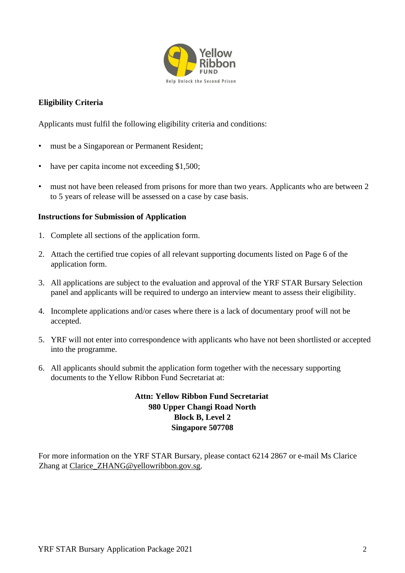

# **Eligibility Criteria**

Applicants must fulfil the following eligibility criteria and conditions:

- must be a Singaporean or Permanent Resident;
- have per capita income not exceeding \$1,500;
- must not have been released from prisons for more than two years. Applicants who are between 2 to 5 years of release will be assessed on a case by case basis.

#### **Instructions for Submission of Application**

- 1. Complete all sections of the application form.
- 2. Attach the certified true copies of all relevant supporting documents listed on Page 6 of the application form.
- 3. All applications are subject to the evaluation and approval of the YRF STAR Bursary Selection panel and applicants will be required to undergo an interview meant to assess their eligibility.
- 4. Incomplete applications and/or cases where there is a lack of documentary proof will not be accepted.
- 5. YRF will not enter into correspondence with applicants who have not been shortlisted or accepted into the programme.
- 6. All applicants should submit the application form together with the necessary supporting documents to the Yellow Ribbon Fund Secretariat at:

## **Attn: Yellow Ribbon Fund Secretariat 980 Upper Changi Road North Block B, Level 2 Singapore 507708**

For more information on the YRF STAR Bursary, please contact 6214 2867 or e-mail Ms Clarice Zhang at Clarice\_ZHANG@yellowribbon.gov.sg.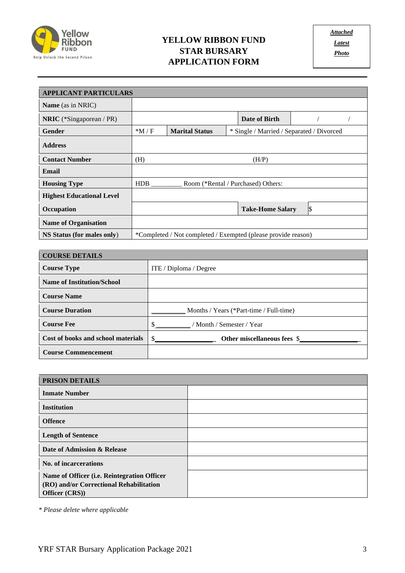

# **YELLOW RIBBON FUND STAR BURSARY APPLICATION FORM**

| <b>APPLICANT PARTICULARS</b>     |            |                       |                                                               |  |  |  |
|----------------------------------|------------|-----------------------|---------------------------------------------------------------|--|--|--|
| <b>Name</b> (as in NRIC)         |            |                       |                                                               |  |  |  |
| <b>NRIC</b> (*Singaporean / PR)  |            |                       | Date of Birth                                                 |  |  |  |
| Gender                           | $*M/F$     | <b>Marital Status</b> | * Single / Married / Separated / Divorced                     |  |  |  |
| <b>Address</b>                   |            |                       |                                                               |  |  |  |
| <b>Contact Number</b>            | (H)        |                       | (H/P)                                                         |  |  |  |
| Email                            |            |                       |                                                               |  |  |  |
| <b>Housing Type</b>              | <b>HDB</b> |                       | Room (*Rental / Purchased) Others:                            |  |  |  |
| <b>Highest Educational Level</b> |            |                       |                                                               |  |  |  |
| Occupation                       |            |                       | I\$<br><b>Take-Home Salary</b>                                |  |  |  |
| <b>Name of Organisation</b>      |            |                       |                                                               |  |  |  |
| NS Status (for males only)       |            |                       | *Completed / Not completed / Exempted (please provide reason) |  |  |  |

| <b>COURSE DETAILS</b>              |                                         |
|------------------------------------|-----------------------------------------|
| <b>Course Type</b>                 | ITE / Diploma / Degree                  |
| <b>Name of Institution/School</b>  |                                         |
| <b>Course Name</b>                 |                                         |
| <b>Course Duration</b>             | Months / Years (*Part-time / Full-time) |
| <b>Course Fee</b>                  | / Month / Semester / Year               |
| Cost of books and school materials | Other miscellaneous fees \$             |
| <b>Course Commencement</b>         |                                         |

| PRISON DETAILS                                                                                           |  |
|----------------------------------------------------------------------------------------------------------|--|
| <b>Inmate Number</b>                                                                                     |  |
| <b>Institution</b>                                                                                       |  |
| <b>Offence</b>                                                                                           |  |
| <b>Length of Sentence</b>                                                                                |  |
| Date of Admission & Release                                                                              |  |
| No. of incarcerations                                                                                    |  |
| Name of Officer (i.e. Reintegration Officer<br>(RO) and/or Correctional Rehabilitation<br>Officer (CRS)) |  |

 *\* Please delete where applicable*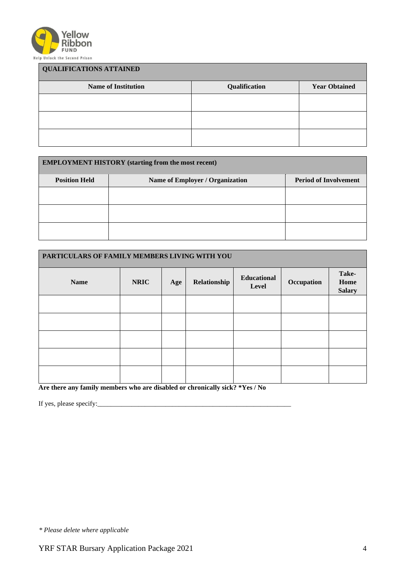

| <b>QUALIFICATIONS ATTAINED</b> |               |                      |  |  |
|--------------------------------|---------------|----------------------|--|--|
| <b>Name of Institution</b>     | Qualification | <b>Year Obtained</b> |  |  |
|                                |               |                      |  |  |
|                                |               |                      |  |  |
|                                |               |                      |  |  |

| <b>EMPLOYMENT HISTORY</b> (starting from the most recent) |                                 |                              |  |  |  |  |
|-----------------------------------------------------------|---------------------------------|------------------------------|--|--|--|--|
| <b>Position Held</b>                                      | Name of Employer / Organization | <b>Period of Involvement</b> |  |  |  |  |
|                                                           |                                 |                              |  |  |  |  |
|                                                           |                                 |                              |  |  |  |  |
|                                                           |                                 |                              |  |  |  |  |

| PARTICULARS OF FAMILY MEMBERS LIVING WITH YOU |             |     |              |                             |            |                                |
|-----------------------------------------------|-------------|-----|--------------|-----------------------------|------------|--------------------------------|
| <b>Name</b>                                   | <b>NRIC</b> | Age | Relationship | <b>Educational</b><br>Level | Occupation | Take-<br>Home<br><b>Salary</b> |
|                                               |             |     |              |                             |            |                                |
|                                               |             |     |              |                             |            |                                |
|                                               |             |     |              |                             |            |                                |
|                                               |             |     |              |                             |            |                                |
|                                               |             |     |              |                             |            |                                |

**Are there any family members who are disabled or chronically sick? \*Yes / No** 

If yes, please specify:  $\frac{1}{2}$  specify:  $\frac{1}{2}$  specify:  $\frac{1}{2}$  specify:  $\frac{1}{2}$  specify:  $\frac{1}{2}$  specify:  $\frac{1}{2}$  specify:  $\frac{1}{2}$  specify:  $\frac{1}{2}$  specify:  $\frac{1}{2}$  specify:  $\frac{1}{2}$  specify:  $\frac{1}{2$ 

*\* Please delete where applicable*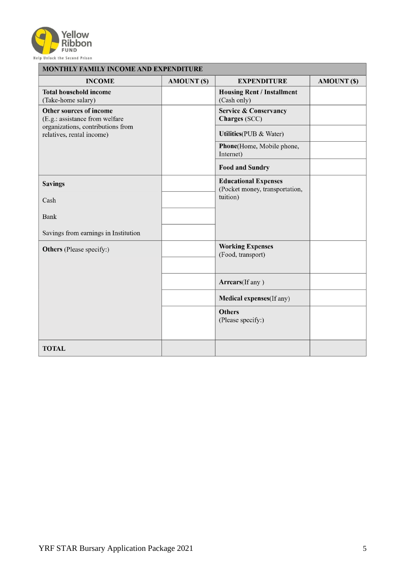

| <b>MONTHLY FAMILY INCOME AND EXPENDITURE</b>                                                                                |                    |                                                               |                    |  |  |
|-----------------------------------------------------------------------------------------------------------------------------|--------------------|---------------------------------------------------------------|--------------------|--|--|
| <b>INCOME</b>                                                                                                               | <b>AMOUNT (\$)</b> | <b>EXPENDITURE</b>                                            | <b>AMOUNT (\$)</b> |  |  |
| <b>Total household income</b><br>(Take-home salary)                                                                         |                    | <b>Housing Rent / Installment</b><br>(Cash only)              |                    |  |  |
| Other sources of income<br>(E.g.: assistance from welfare<br>organizations, contributions from<br>relatives, rental income) |                    | <b>Service &amp; Conservancy</b><br>Charges (SCC)             |                    |  |  |
|                                                                                                                             |                    | <b>Utilities</b> (PUB & Water)                                |                    |  |  |
|                                                                                                                             |                    | Phone(Home, Mobile phone,<br>Internet)                        |                    |  |  |
|                                                                                                                             |                    | <b>Food and Sundry</b>                                        |                    |  |  |
| <b>Savings</b>                                                                                                              |                    | <b>Educational Expenses</b><br>(Pocket money, transportation, |                    |  |  |
| Cash                                                                                                                        |                    | tuition)                                                      |                    |  |  |
| <b>Bank</b>                                                                                                                 |                    |                                                               |                    |  |  |
| Savings from earnings in Institution                                                                                        |                    |                                                               |                    |  |  |
| <b>Others</b> (Please specify:)                                                                                             |                    | <b>Working Expenses</b><br>(Food, transport)                  |                    |  |  |
|                                                                                                                             |                    | Arrears(If any)                                               |                    |  |  |
|                                                                                                                             |                    | <b>Medical expenses</b> (If any)                              |                    |  |  |
|                                                                                                                             |                    | <b>Others</b><br>(Please specify:)                            |                    |  |  |
| <b>TOTAL</b>                                                                                                                |                    |                                                               |                    |  |  |